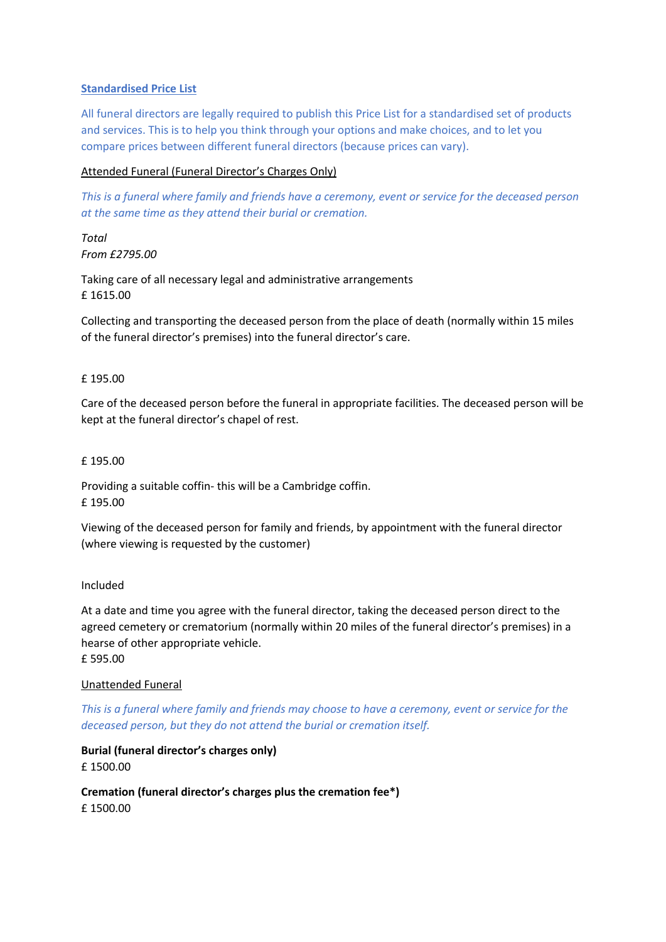### **Standardised Price List**

All funeral directors are legally required to publish this Price List for a standardised set of products and services. This is to help you think through your options and make choices, and to let you compare prices between different funeral directors (because prices can vary).

# Attended Funeral (Funeral Director's Charges Only)

*This is a funeral where family and friends have a ceremony, event or service for the deceased person at the same time as they attend their burial or cremation.*

*Total From £2795.00*

Taking care of all necessary legal and administrative arrangements £ 1615.00

Collecting and transporting the deceased person from the place of death (normally within 15 miles of the funeral director's premises) into the funeral director's care.

### £ 195.00

Care of the deceased person before the funeral in appropriate facilities. The deceased person will be kept at the funeral director's chapel of rest.

### £ 195.00

Providing a suitable coffin- this will be a Cambridge coffin. £ 195.00

Viewing of the deceased person for family and friends, by appointment with the funeral director (where viewing is requested by the customer)

### Included

At a date and time you agree with the funeral director, taking the deceased person direct to the agreed cemetery or crematorium (normally within 20 miles of the funeral director's premises) in a hearse of other appropriate vehicle. £ 595.00

## Unattended Funeral

*This is a funeral where family and friends may choose to have a ceremony, event or service for the deceased person, but they do not attend the burial or cremation itself.* 

# **Burial (funeral director's charges only)**  £ 1500.00

**Cremation (funeral director's charges plus the cremation fee\*)**  £ 1500.00